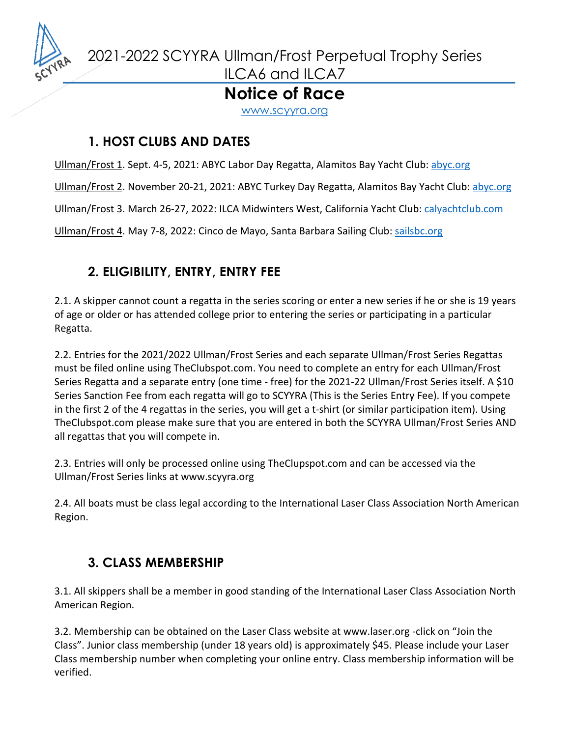

2021-2022 SCYYRA Ullman/Frost Perpetual Trophy Series

ILCA6 and ILCA7

## **Notice of Race**

www.scyyra.org

### **1. HOST CLUBS AND DATES**

Ullman/Frost 1. Sept. 4-5, 2021: ABYC Labor Day Regatta, Alamitos Bay Yacht Club: abyc.org

Ullman/Frost 2. November 20-21, 2021: ABYC Turkey Day Regatta, Alamitos Bay Yacht Club: abyc.org

Ullman/Frost 3. March 26-27, 2022: ILCA Midwinters West, California Yacht Club: calyachtclub.com

Ullman/Frost 4. May 7-8, 2022: Cinco de Mayo, Santa Barbara Sailing Club: sailsbc.org

# **2. ELIGIBILITY, ENTRY, ENTRY FEE**

2.1. A skipper cannot count a regatta in the series scoring or enter a new series if he or she is 19 years of age or older or has attended college prior to entering the series or participating in a particular Regatta.

2.2. Entries for the 2021/2022 Ullman/Frost Series and each separate Ullman/Frost Series Regattas must be filed online using TheClubspot.com. You need to complete an entry for each Ullman/Frost Series Regatta and a separate entry (one time - free) for the 2021-22 Ullman/Frost Series itself. A \$10 Series Sanction Fee from each regatta will go to SCYYRA (This is the Series Entry Fee). If you compete in the first 2 of the 4 regattas in the series, you will get a t-shirt (or similar participation item). Using TheClubspot.com please make sure that you are entered in both the SCYYRA Ullman/Frost Series AND all regattas that you will compete in.

2.3. Entries will only be processed online using TheClupspot.com and can be accessed via the Ullman/Frost Series links at www.scyyra.org

2.4. All boats must be class legal according to the International Laser Class Association North American Region.

## **3. CLASS MEMBERSHIP**

3.1. All skippers shall be a member in good standing of the International Laser Class Association North American Region.

3.2. Membership can be obtained on the Laser Class website at www.laser.org -click on "Join the Class". Junior class membership (under 18 years old) is approximately \$45. Please include your Laser Class membership number when completing your online entry. Class membership information will be verified.